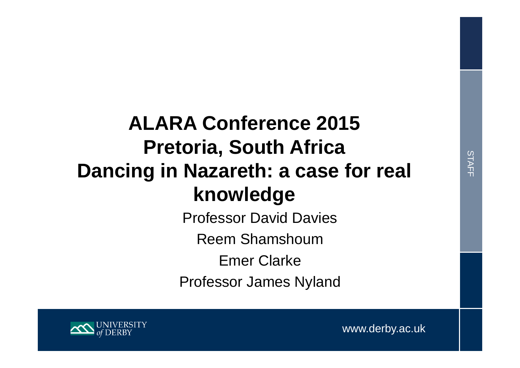# **ALARA Conference 2015 Pretoria, South Africa Dancing in Nazareth: a case for real knowledge**

Professor David Davies

Reem Shamshoum

Emer Clarke

Professor James Nyland



www.derby.ac.uk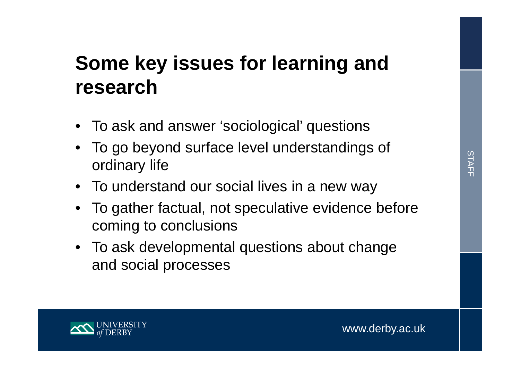# **Some key issues for learning and research**

- To ask and answer 'sociological' questions
- • To go beyond surface level understandings of ordinary life
- To understand our social lives in a new way
- To gather factual, not speculative evidence before coming to conclusions
- To ask developmental questions about change and social processes

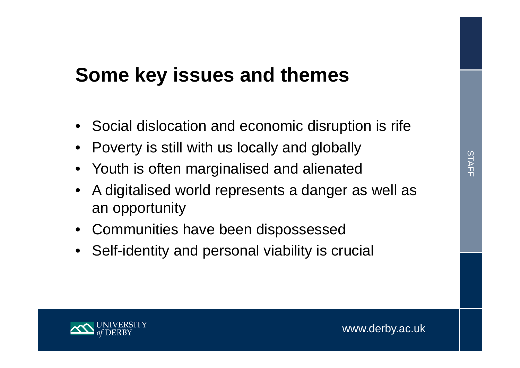### **Some key issues and themes**

- Social dislocation and economic disruption is rife
- •Poverty is still with us locally and globally
- Youth is often marginalised and alienated
- • A digitalised world represents a danger as well as an opportunity
- Communities have been dispossessed
- •Self-identity and personal viability is crucial

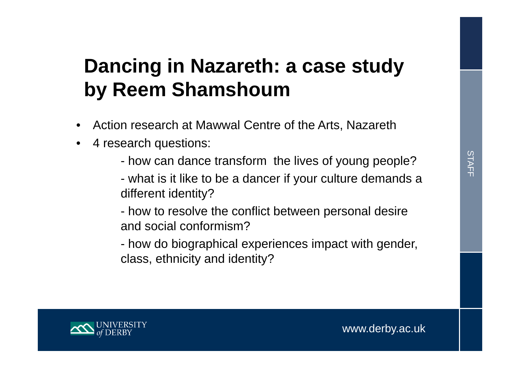## **Dancing in Nazareth: a case study by Reem Shamshoum**

- •Action research at Mawwal Centre of the Arts, Nazareth
- • 4 research questions:
	- how can dance transform the lives of young people?
	- what is it like to be a dancer if your culture demands a different identity?
	- how to resolve the conflict between personal desire and social conformism?
	- how do biographical experiences impact with gender, class, ethnicity and identity?

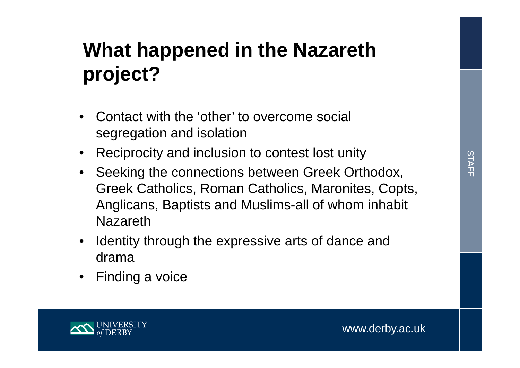# **What happened in the Nazareth project?**

- • Contact with the 'other' to overcome social segregation and isolation
- •Reciprocity and inclusion to contest lost unity
- $\bullet$  Seeking the connections between Greek Orthodox, Greek Catholics, Roman Catholics, Maronites, Copts, Anglicans, Baptists and Muslims-all of whom inhabit Nazareth
- $\bullet$  Identity through the expressive arts of dance and drama
- $\bullet$ Finding a voice

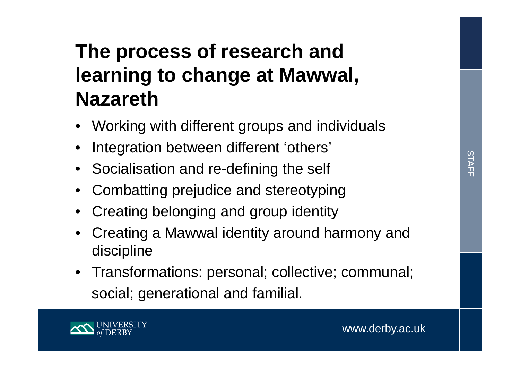# **The process of research and learning to change at Mawwal, Nazareth**

- Working with different groups and individuals
- •Integration between different 'others'
- Socialisation and re-defining the self
- Combatting prejudice and stereotyping
- Creating belonging and group identity
- Creating a Mawwal identity around harmony and discipline
- Transformations: personal; collective; communal; social; generational and familial.

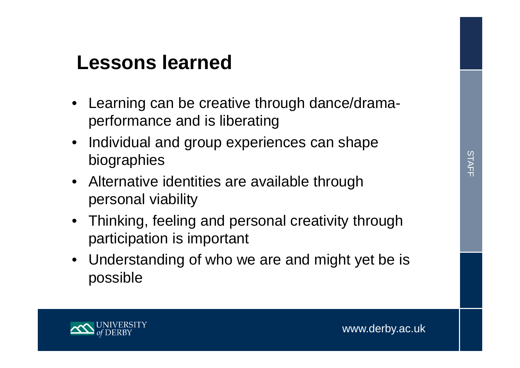#### **Lessons learned**

- $\bullet$  Learning can be creative through dance/dramaperformance and is liberating
- $\bullet$  Individual and group experiences can shape biographies
- Alternative identities are available through personal viability
- Thinking, feeling and personal creativity through participation is important
- Understanding of who we are and might yet be is possible

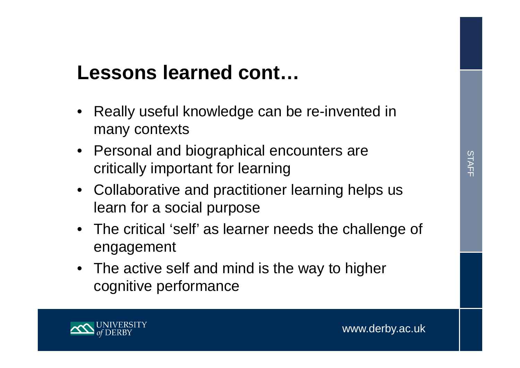### **Lessons learned cont…**

- Really useful knowledge can be re-invented in many contexts
- Personal and biographical encounters are critically important for learning
- Collaborative and practitioner learning helps us learn for a social purpose
- The critical 'self' as learner needs the challenge of engagement
- The active self and mind is the way to higher cognitive performance

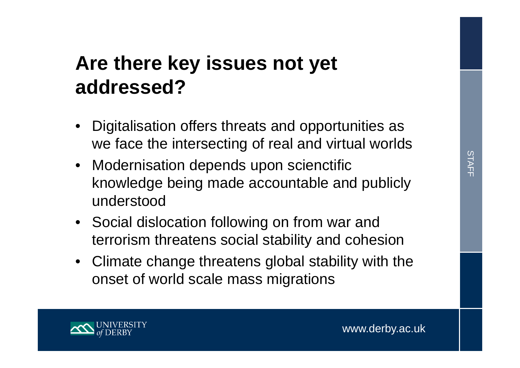## **Are there key issues not yet addressed?**

- • Digitalisation offers threats and opportunities as we face the intersecting of real and virtual worlds
- Modernisation depends upon scienctific knowledge being made accountable and publicly understood
- Social dislocation following on from war and terrorism threatens social stability and cohesion
- Climate change threatens global stability with the onset of world scale mass migrations